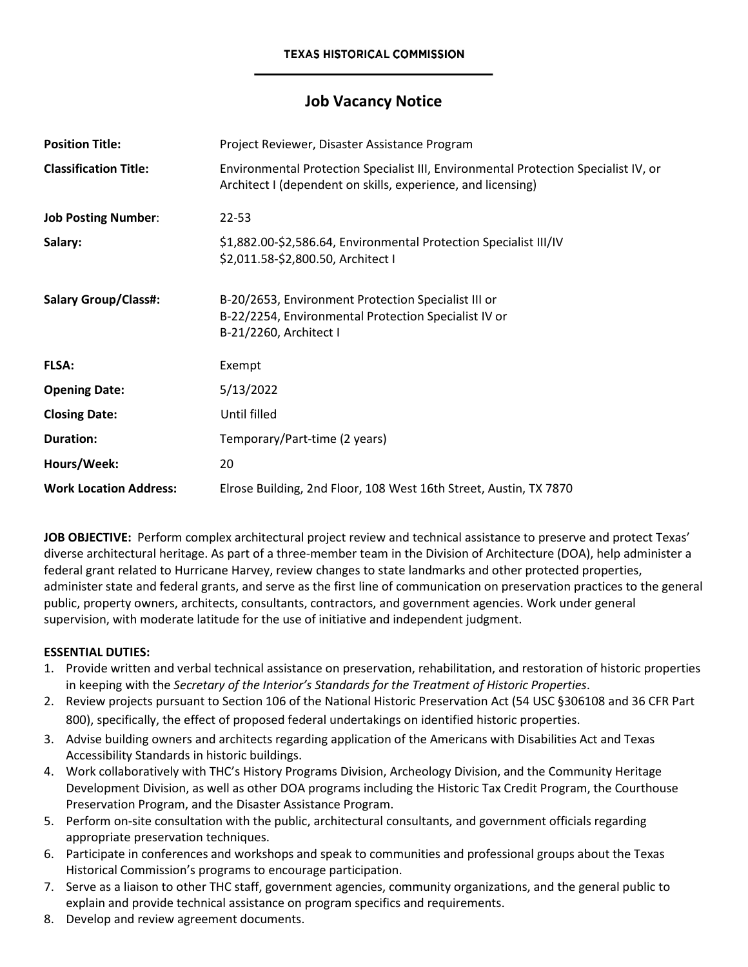# **Job Vacancy Notice**

| <b>Position Title:</b>        | Project Reviewer, Disaster Assistance Program                                                                                                       |
|-------------------------------|-----------------------------------------------------------------------------------------------------------------------------------------------------|
| <b>Classification Title:</b>  | Environmental Protection Specialist III, Environmental Protection Specialist IV, or<br>Architect I (dependent on skills, experience, and licensing) |
| <b>Job Posting Number:</b>    | $22 - 53$                                                                                                                                           |
| Salary:                       | \$1,882.00-\$2,586.64, Environmental Protection Specialist III/IV<br>\$2,011.58-\$2,800.50, Architect I                                             |
| <b>Salary Group/Class#:</b>   | B-20/2653, Environment Protection Specialist III or<br>B-22/2254, Environmental Protection Specialist IV or<br>B-21/2260, Architect I               |
| <b>FLSA:</b>                  | Exempt                                                                                                                                              |
| <b>Opening Date:</b>          | 5/13/2022                                                                                                                                           |
| <b>Closing Date:</b>          | Until filled                                                                                                                                        |
| <b>Duration:</b>              | Temporary/Part-time (2 years)                                                                                                                       |
| Hours/Week:                   | 20                                                                                                                                                  |
| <b>Work Location Address:</b> | Elrose Building, 2nd Floor, 108 West 16th Street, Austin, TX 7870                                                                                   |

**JOB OBJECTIVE:** Perform complex architectural project review and technical assistance to preserve and protect Texas' diverse architectural heritage. As part of a three-member team in the Division of Architecture (DOA), help administer a federal grant related to Hurricane Harvey, review changes to state landmarks and other protected properties, administer state and federal grants, and serve as the first line of communication on preservation practices to the general public, property owners, architects, consultants, contractors, and government agencies. Work under general supervision, with moderate latitude for the use of initiative and independent judgment.

# **ESSENTIAL DUTIES:**

- 1. Provide written and verbal technical assistance on preservation, rehabilitation, and restoration of historic properties in keeping with the *Secretary of the Interior's Standards for the Treatment of Historic Properties*.
- 2. Review projects pursuant to Section 106 of the National Historic Preservation Act (54 USC §306108 and 36 CFR Part 800), specifically, the effect of proposed federal undertakings on identified historic properties.
- 3. Advise building owners and architects regarding application of the Americans with Disabilities Act and Texas Accessibility Standards in historic buildings.
- 4. Work collaboratively with THC's History Programs Division, Archeology Division, and the Community Heritage Development Division, as well as other DOA programs including the Historic Tax Credit Program, the Courthouse Preservation Program, and the Disaster Assistance Program.
- 5. Perform on-site consultation with the public, architectural consultants, and government officials regarding appropriate preservation techniques.
- 6. Participate in conferences and workshops and speak to communities and professional groups about the Texas Historical Commission's programs to encourage participation.
- 7. Serve as a liaison to other THC staff, government agencies, community organizations, and the general public to explain and provide technical assistance on program specifics and requirements.
- 8. Develop and review agreement documents.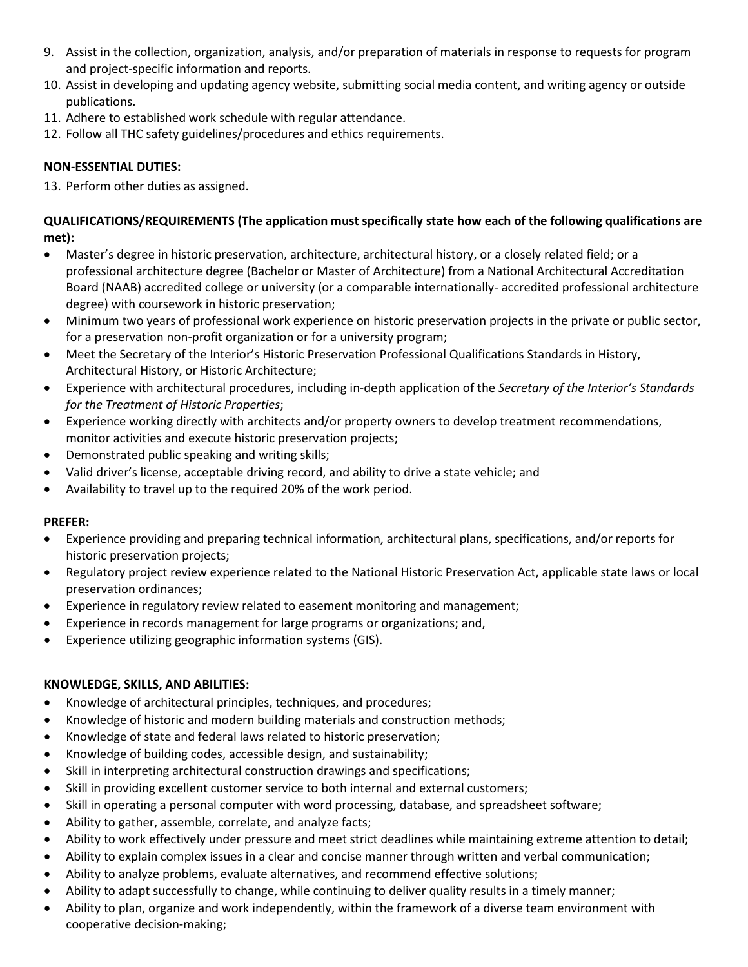- 9. Assist in the collection, organization, analysis, and/or preparation of materials in response to requests for program and project-specific information and reports.
- 10. Assist in developing and updating agency website, submitting social media content, and writing agency or outside publications.
- 11. Adhere to established work schedule with regular attendance.
- 12. Follow all THC safety guidelines/procedures and ethics requirements.

# **NON-ESSENTIAL DUTIES:**

13. Perform other duties as assigned.

### **QUALIFICATIONS/REQUIREMENTS (The application must specifically state how each of the following qualifications are met):**

- Master's degree in historic preservation, architecture, architectural history, or a closely related field; or a professional architecture degree (Bachelor or Master of Architecture) from a National Architectural Accreditation Board (NAAB) accredited college or university (or a comparable internationally- accredited professional architecture degree) with coursework in historic preservation;
- Minimum two years of professional work experience on historic preservation projects in the private or public sector, for a preservation non-profit organization or for a university program;
- Meet the Secretary of the Interior's Historic Preservation Professional Qualifications Standards in History, Architectural History, or Historic Architecture;
- Experience with architectural procedures, including in-depth application of the *Secretary of the Interior's Standards for the Treatment of Historic Properties*;
- Experience working directly with architects and/or property owners to develop treatment recommendations, monitor activities and execute historic preservation projects;
- Demonstrated public speaking and writing skills;
- Valid driver's license, acceptable driving record, and ability to drive a state vehicle; and
- Availability to travel up to the required 20% of the work period.

# **PREFER:**

- Experience providing and preparing technical information, architectural plans, specifications, and/or reports for historic preservation projects;
- Regulatory project review experience related to the National Historic Preservation Act, applicable state laws or local preservation ordinances;
- Experience in regulatory review related to easement monitoring and management;
- Experience in records management for large programs or organizations; and,
- Experience utilizing geographic information systems (GIS).

# **KNOWLEDGE, SKILLS, AND ABILITIES:**

- Knowledge of architectural principles, techniques, and procedures;
- Knowledge of historic and modern building materials and construction methods;
- Knowledge of state and federal laws related to historic preservation;
- Knowledge of building codes, accessible design, and sustainability;
- Skill in interpreting architectural construction drawings and specifications;
- Skill in providing excellent customer service to both internal and external customers;
- Skill in operating a personal computer with word processing, database, and spreadsheet software;
- Ability to gather, assemble, correlate, and analyze facts;
- Ability to work effectively under pressure and meet strict deadlines while maintaining extreme attention to detail;
- Ability to explain complex issues in a clear and concise manner through written and verbal communication;
- Ability to analyze problems, evaluate alternatives, and recommend effective solutions;
- Ability to adapt successfully to change, while continuing to deliver quality results in a timely manner;
- Ability to plan, organize and work independently, within the framework of a diverse team environment with cooperative decision-making;